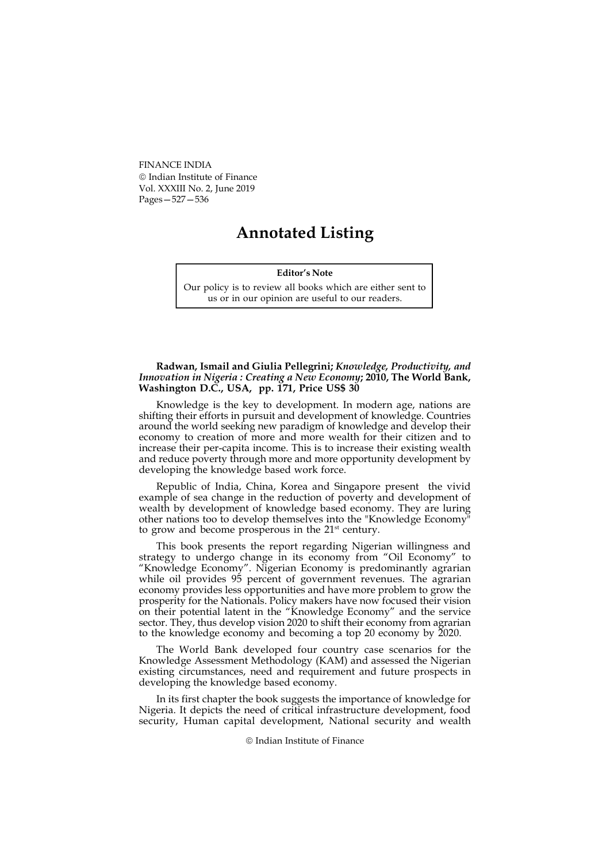FINANCE INDIA Indian Institute of Finance Vol. XXXIII No. 2, June 2019 Pages—527—536

# Annotated Listing

### Editor's Note

Our policy is to review all books which are either sent to us or in our opinion are useful to our readers.

#### Radwan, Ismail and Giulia Pellegrini; Knowledge, Productivity, and Innovation in Nigeria : Creating a New Economy; 2010, The World Bank, Washington D.C., USA, pp. 171, Price US\$ 30

Knowledge is the key to development. In modern age, nations are shifting their efforts in pursuit and development of knowledge. Countries around the world seeking new paradigm of knowledge and develop their economy to creation of more and more wealth for their citizen and to increase their per-capita income. This is to increase their existing wealth and reduce poverty through more and more opportunity development by developing the knowledge based work force.

Republic of India, China, Korea and Singapore present the vivid example of sea change in the reduction of poverty and development of wealth by development of knowledge based economy. They are luring other nations too to develop themselves into the "Knowledge Economy" to grow and become prosperous in the 21<sup>st</sup> century.

This book presents the report regarding Nigerian willingness and strategy to undergo change in its economy from "Oil Economy" to "Knowledge Economy". Nigerian Economy is predominantly agrarian while oil provides 95 percent of government revenues. The agrarian economy provides less opportunities and have more problem to grow the prosperity for the Nationals. Policy makers have now focused their vision on their potential latent in the "Knowledge Economy" and the service sector. They, thus develop vision 2020 to shift their economy from agrarian to the knowledge economy and becoming a top 20 economy by 2020.

The World Bank developed four country case scenarios for the Knowledge Assessment Methodology (KAM) and assessed the Nigerian existing circumstances, need and requirement and future prospects in developing the knowledge based economy.

In its first chapter the book suggests the importance of knowledge for Nigeria. It depicts the need of critical infrastructure development, food security, Human capital development, National security and wealth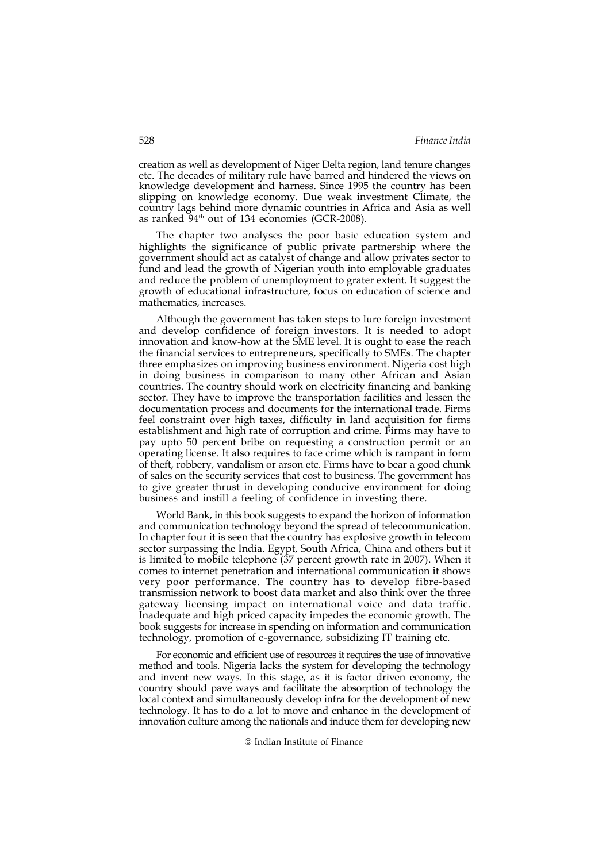creation as well as development of Niger Delta region, land tenure changes etc. The decades of military rule have barred and hindered the views on knowledge development and harness. Since 1995 the country has been slipping on knowledge economy. Due weak investment Climate, the country lags behind more dynamic countries in Africa and Asia as well as ranked 94<sup>th</sup> out of 134 economies (GCR-2008).

The chapter two analyses the poor basic education system and highlights the significance of public private partnership where the government should act as catalyst of change and allow privates sector to fund and lead the growth of Nigerian youth into employable graduates and reduce the problem of unemployment to grater extent. It suggest the growth of educational infrastructure, focus on education of science and mathematics, increases.

Although the government has taken steps to lure foreign investment and develop confidence of foreign investors. It is needed to adopt innovation and know-how at the SME level. It is ought to ease the reach the financial services to entrepreneurs, specifically to SMEs. The chapter three emphasizes on improving business environment. Nigeria cost high in doing business in comparison to many other African and Asian countries. The country should work on electricity financing and banking sector. They have to improve the transportation facilities and lessen the documentation process and documents for the international trade. Firms feel constraint over high taxes, difficulty in land acquisition for firms establishment and high rate of corruption and crime. Firms may have to pay upto 50 percent bribe on requesting a construction permit or an operating license. It also requires to face crime which is rampant in form of theft, robbery, vandalism or arson etc. Firms have to bear a good chunk of sales on the security services that cost to business. The government has to give greater thrust in developing conducive environment for doing business and instill a feeling of confidence in investing there.

World Bank, in this book suggests to expand the horizon of information and communication technology beyond the spread of telecommunication. In chapter four it is seen that the country has explosive growth in telecom sector surpassing the India. Egypt, South Africa, China and others but it is limited to mobile telephone (37 percent growth rate in 2007). When it comes to internet penetration and international communication it shows very poor performance. The country has to develop fibre-based transmission network to boost data market and also think over the three gateway licensing impact on international voice and data traffic. Inadequate and high priced capacity impedes the economic growth. The book suggests for increase in spending on information and communication technology, promotion of e-governance, subsidizing IT training etc.

For economic and efficient use of resources it requires the use of innovative method and tools. Nigeria lacks the system for developing the technology and invent new ways. In this stage, as it is factor driven economy, the country should pave ways and facilitate the absorption of technology the local context and simultaneously develop infra for the development of new technology. It has to do a lot to move and enhance in the development of innovation culture among the nationals and induce them for developing new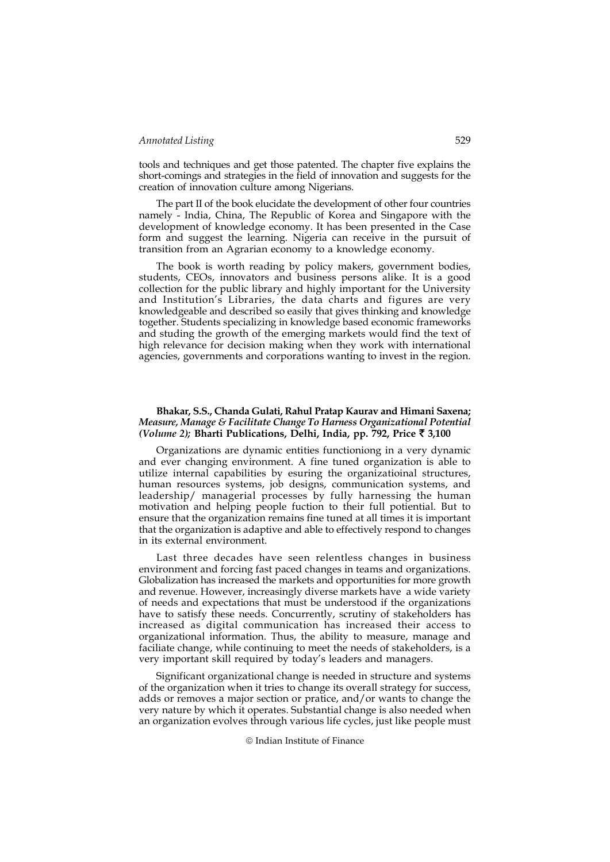tools and techniques and get those patented. The chapter five explains the short-comings and strategies in the field of innovation and suggests for the creation of innovation culture among Nigerians.

The part II of the book elucidate the development of other four countries namely - India, China, The Republic of Korea and Singapore with the development of knowledge economy. It has been presented in the Case form and suggest the learning. Nigeria can receive in the pursuit of transition from an Agrarian economy to a knowledge economy.

The book is worth reading by policy makers, government bodies, students, CEOs, innovators and business persons alike. It is a good collection for the public library and highly important for the University and Institution's Libraries, the data charts and figures are very knowledgeable and described so easily that gives thinking and knowledge together. Students specializing in knowledge based economic frameworks and studing the growth of the emerging markets would find the text of high relevance for decision making when they work with international agencies, governments and corporations wanting to invest in the region.

#### Bhakar, S.S., Chanda Gulati, Rahul Pratap Kaurav and Himani Saxena; Measure, Manage & Facilitate Change To Harness Organizational Potential (Volume 2); Bharti Publications, Delhi, India, pp. 792, Price  $\bar{\tau}$  3,100

Organizations are dynamic entities functioniong in a very dynamic and ever changing environment. A fine tuned organization is able to utilize internal capabilities by esuring the organizatioinal structures, human resources systems, job designs, communication systems, and leadership/ managerial processes by fully harnessing the human motivation and helping people fuction to their full potiential. But to ensure that the organization remains fine tuned at all times it is important that the organization is adaptive and able to effectively respond to changes in its external environment.

Last three decades have seen relentless changes in business environment and forcing fast paced changes in teams and organizations. Globalization has increased the markets and opportunities for more growth and revenue. However, increasingly diverse markets have a wide variety of needs and expectations that must be understood if the organizations have to satisfy these needs. Concurrently, scrutiny of stakeholders has increased as digital communication has increased their access to organizational information. Thus, the ability to measure, manage and faciliate change, while continuing to meet the needs of stakeholders, is a very important skill required by today's leaders and managers.

Significant organizational change is needed in structure and systems of the organization when it tries to change its overall strategy for success, adds or removes a major section or pratice, and/or wants to change the very nature by which it operates. Substantial change is also needed when an organization evolves through various life cycles, just like people must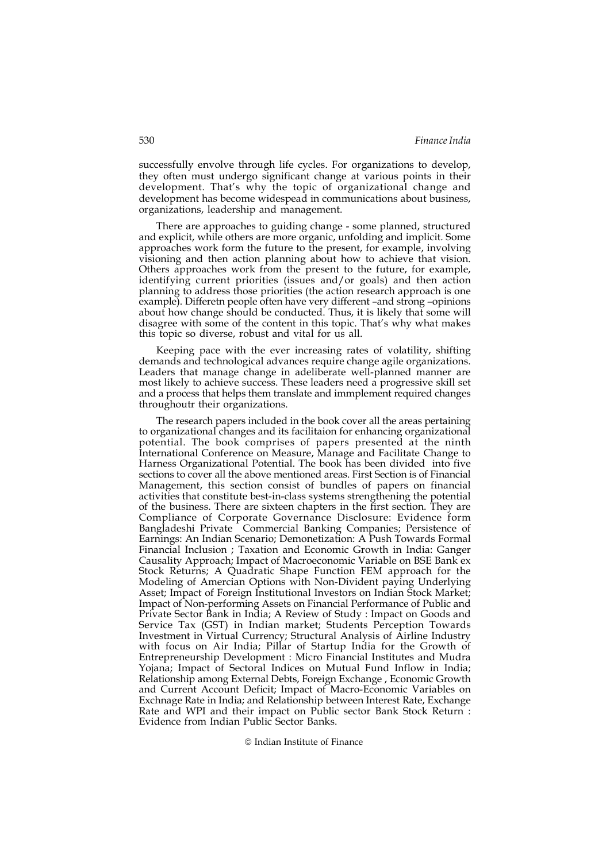successfully envolve through life cycles. For organizations to develop, they often must undergo significant change at various points in their development. That's why the topic of organizational change and development has become widespead in communications about business, organizations, leadership and management.

There are approaches to guiding change - some planned, structured and explicit, while others are more organic, unfolding and implicit. Some approaches work form the future to the present, for example, involving visioning and then action planning about how to achieve that vision. Others approaches work from the present to the future, for example, identifying current priorities (issues and/or goals) and then action planning to address those priorities (the action research approach is one example). Differetn people often have very different –and strong –opinions about how change should be conducted. Thus, it is likely that some will disagree with some of the content in this topic. That's why what makes this topic so diverse, robust and vital for us all.

Keeping pace with the ever increasing rates of volatility, shifting demands and technological advances require change agile organizations. Leaders that manage change in adeliberate well-planned manner are most likely to achieve success. These leaders need a progressive skill set and a process that helps them translate and immplement required changes throughoutr their organizations.

The research papers included in the book cover all the areas pertaining to organizational changes and its facilitaion for enhancing organizational potential. The book comprises of papers presented at the ninth International Conference on Measure, Manage and Facilitate Change to Harness Organizational Potential. The book has been divided into five sections to cover all the above mentioned areas. First Section is of Financial Management, this section consist of bundles of papers on financial activities that constitute best-in-class systems strengthening the potential of the business. There are sixteen chapters in the first section. They are Compliance of Corporate Governance Disclosure: Evidence form Bangladeshi Private Commercial Banking Companies; Persistence of Earnings: An Indian Scenario; Demonetization: A Push Towards Formal Financial Inclusion ; Taxation and Economic Growth in India: Ganger Causality Approach; Impact of Macroeconomic Variable on BSE Bank ex Stock Returns; A Quadratic Shape Function FEM approach for the Modeling of Amercian Options with Non-Divident paying Underlying Asset; Impact of Foreign Institutional Investors on Indian Stock Market; Impact of Non-performing Assets on Financial Performance of Public and Private Sector Bank in India; A Review of Study : Impact on Goods and Service Tax (GST) in Indian market; Students Perception Towards Investment in Virtual Currency; Structural Analysis of Airline Industry with focus on Air India; Pillar of Startup India for the Growth of Entrepreneurship Development : Micro Financial Institutes and Mudra Yojana; Impact of Sectoral Indices on Mutual Fund Inflow in India; Relationship among External Debts, Foreign Exchange , Economic Growth and Current Account Deficit; Impact of Macro-Economic Variables on Exchnage Rate in India; and Relationship between Interest Rate, Exchange Rate and WPI and their impact on Public sector Bank Stock Return : Evidence from Indian Public Sector Banks.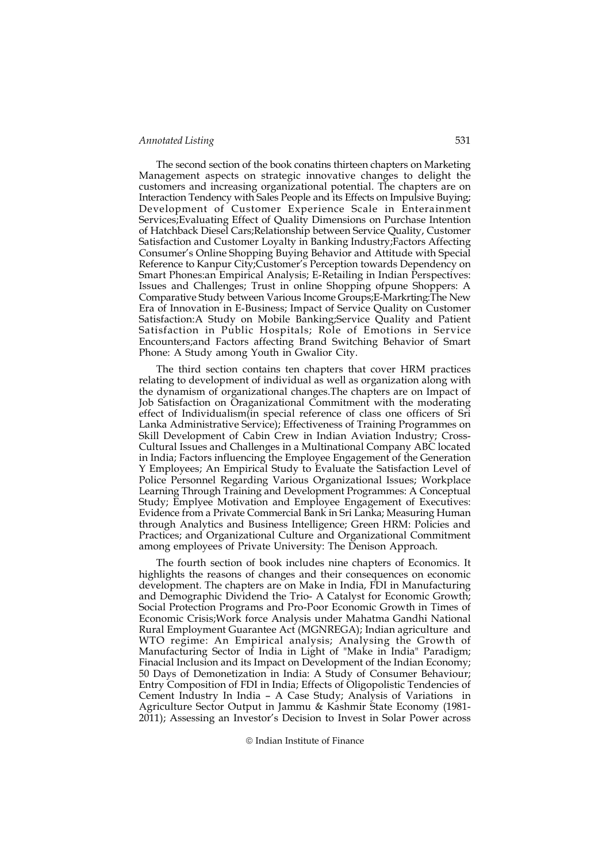The second section of the book conatins thirteen chapters on Marketing Management aspects on strategic innovative changes to delight the customers and increasing organizational potential. The chapters are on Interaction Tendency with Sales People and its Effects on Impulsive Buying; Development of Customer Experience Scale in Enterainment Services;Evaluating Effect of Quality Dimensions on Purchase Intention of Hatchback Diesel Cars;Relationship between Service Quality, Customer Satisfaction and Customer Loyalty in Banking Industry;Factors Affecting Consumer's Online Shopping Buying Behavior and Attitude with Special Reference to Kanpur City;Customer's Perception towards Dependency on Smart Phones:an Empirical Analysis; E-Retailing in Indian Perspectives: Issues and Challenges; Trust in online Shopping ofpune Shoppers: A Comparative Study between Various Income Groups;E-Markrting:The New Era of Innovation in E-Business; Impact of Service Quality on Customer Satisfaction:A Study on Mobile Banking;Service Quality and Patient Satisfaction in Public Hospitals; Role of Emotions in Service Encounters;and Factors affecting Brand Switching Behavior of Smart Phone: A Study among Youth in Gwalior City.

The third section contains ten chapters that cover HRM practices relating to development of individual as well as organization along with the dynamism of organizational changes.The chapters are on Impact of Job Satisfaction on Oraganizational Commitment with the moderating effect of Individualism(in special reference of class one officers of Sri Lanka Administrative Service); Effectiveness of Training Programmes on Skill Development of Cabin Crew in Indian Aviation Industry; Cross-Cultural Issues and Challenges in a Multinational Company ABC located in India; Factors influencing the Employee Engagement of the Generation Y Employees; An Empirical Study to Evaluate the Satisfaction Level of Police Personnel Regarding Various Organizational Issues; Workplace Learning Through Training and Development Programmes: A Conceptual Study; Emplyee Motivation and Employee Engagement of Executives: Evidence from a Private Commercial Bank in Sri Lanka; Measuring Human through Analytics and Business Intelligence; Green HRM: Policies and Practices; and Organizational Culture and Organizational Commitment among employees of Private University: The Denison Approach.

The fourth section of book includes nine chapters of Economics. It highlights the reasons of changes and their consequences on economic development. The chapters are on Make in India, FDI in Manufacturing and Demographic Dividend the Trio- A Catalyst for Economic Growth; Social Protection Programs and Pro-Poor Economic Growth in Times of Economic Crisis;Work force Analysis under Mahatma Gandhi National Rural Employment Guarantee Act (MGNREGA); Indian agriculture and WTO regime: An Empirical analysis; Analysing the Growth of Manufacturing Sector of India in Light of "Make in India" Paradigm; Finacial Inclusion and its Impact on Development of the Indian Economy; 50 Days of Demonetization in India: A Study of Consumer Behaviour; Entry Composition of FDI in India; Effects of Oligopolistic Tendencies of Cement Industry In India – A Case Study; Analysis of Variations in Agriculture Sector Output in Jammu & Kashmir State Economy (1981- 2011); Assessing an Investor's Decision to Invest in Solar Power across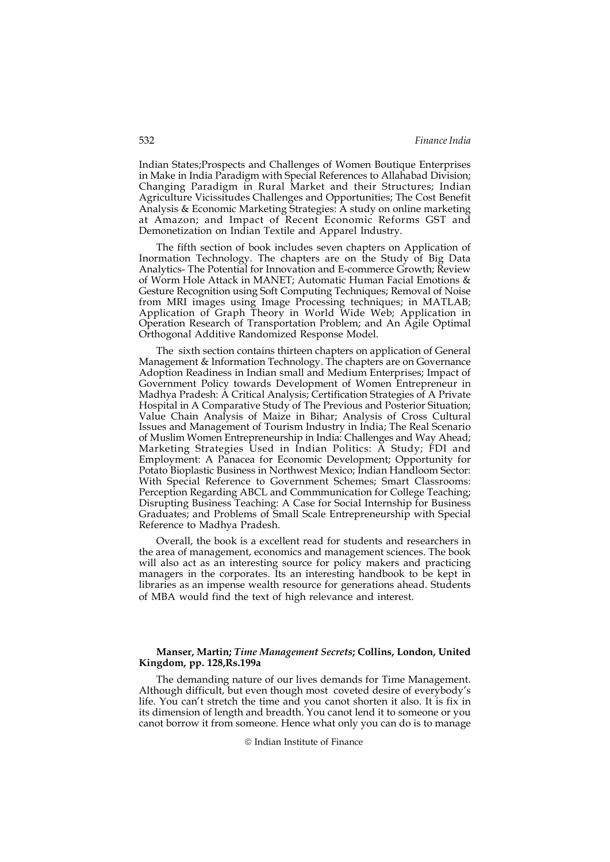Indian States;Prospects and Challenges of Women Boutique Enterprises in Make in India Paradigm with Special References to Allahabad Division; Changing Paradigm in Rural Market and their Structures; Indian Agriculture Vicissitudes Challenges and Opportunities; The Cost Benefit Analysis & Economic Marketing Strategies: A study on online marketing at Amazon; and Impact of Recent Economic Reforms GST and Demonetization on Indian Textile and Apparel Industry.

The fifth section of book includes seven chapters on Application of Inormation Technology. The chapters are on the Study of Big Data Analytics- The Potential for Innovation and E-commerce Growth; Review of Worm Hole Attack in MANET; Automatic Human Facial Emotions & Gesture Recognition using Soft Computing Techniques; Removal of Noise from MRI images using Image Processing techniques; in MATLAB; Application of Graph Theory in World Wide Web; Application in Operation Research of Transportation Problem; and An Agile Optimal Orthogonal Additive Randomized Response Model.

The sixth section contains thirteen chapters on application of General Management & Information Technology. The chapters are on Governance Adoption Readiness in Indian small and Medium Enterprises; Impact of Government Policy towards Development of Women Entrepreneur in Madhya Pradesh: A Critical Analysis; Certification Strategies of A Private Hospital in A Comparative Study of The Previous and Posterior Situation; Value Chain Analysis of Maize in Bihar; Analysis of Cross Cultural Issues and Management of Tourism Industry in India; The Real Scenario of Muslim Women Entrepreneurship in India: Challenges and Way Ahead; Marketing Strategies Used in Indian Politics: A Study; FDI and Employment: A Panacea for Economic Development; Opportunity for Potato Bioplastic Business in Northwest Mexico; Indian Handloom Sector: With Special Reference to Government Schemes; Smart Classrooms: Perception Regarding ABCL and Commmunication for College Teaching; Disrupting Business Teaching: A Case for Social Internship for Business Graduates; and Problems of Small Scale Entrepreneurship with Special Reference to Madhya Pradesh.

Overall, the book is a excellent read for students and researchers in the area of management, economics and management sciences. The book will also act as an interesting source for policy makers and practicing managers in the corporates. Its an interesting handbook to be kept in libraries as an impense wealth resource for generations ahead. Students of MBA would find the text of high relevance and interest.

# Manser, Martin; Time Management Secrets; Collins, London, United Kingdom, pp. 128,Rs.199a

The demanding nature of our lives demands for Time Management. Although difficult, but even though most coveted desire of everybody's life. You can't stretch the time and you canot shorten it also. It is fix in its dimension of length and breadth. You canot lend it to someone or you canot borrow it from someone. Hence what only you can do is to manage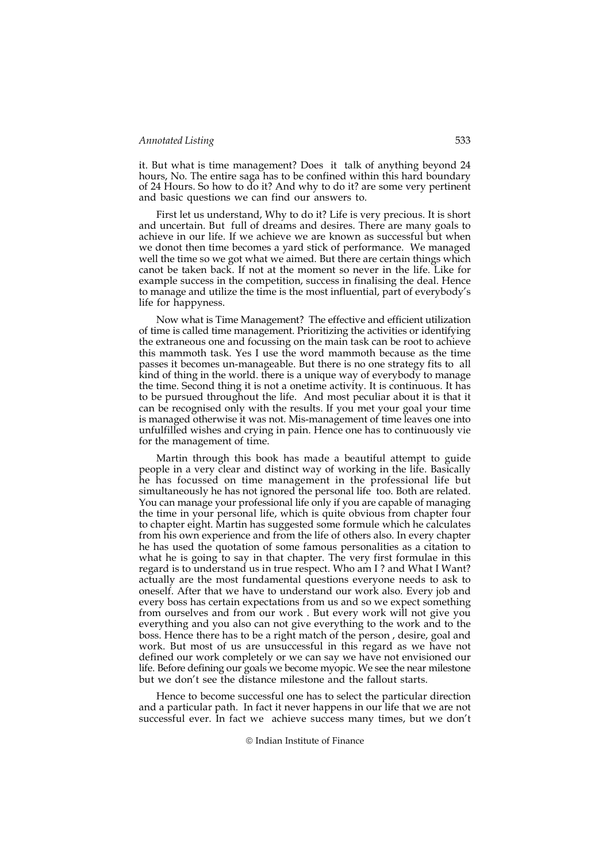it. But what is time management? Does it talk of anything beyond 24 hours, No. The entire saga has to be confined within this hard boundary of 24 Hours. So how to do it? And why to do it? are some very pertinent and basic questions we can find our answers to.

First let us understand, Why to do it? Life is very precious. It is short and uncertain. But full of dreams and desires. There are many goals to achieve in our life. If we achieve we are known as successful but when we donot then time becomes a yard stick of performance. We managed well the time so we got what we aimed. But there are certain things which canot be taken back. If not at the moment so never in the life. Like for example success in the competition, success in finalising the deal. Hence to manage and utilize the time is the most influential, part of everybody's life for happyness.

Now what is Time Management? The effective and efficient utilization of time is called time management. Prioritizing the activities or identifying the extraneous one and focussing on the main task can be root to achieve this mammoth task. Yes I use the word mammoth because as the time passes it becomes un-manageable. But there is no one strategy fits to all kind of thing in the world. there is a unique way of everybody to manage the time. Second thing it is not a onetime activity. It is continuous. It has to be pursued throughout the life. And most peculiar about it is that it can be recognised only with the results. If you met your goal your time is managed otherwise it was not. Mis-management of time leaves one into unfulfilled wishes and crying in pain. Hence one has to continuously vie for the management of time.

Martin through this book has made a beautiful attempt to guide people in a very clear and distinct way of working in the life. Basically he has focussed on time management in the professional life but simultaneously he has not ignored the personal life too. Both are related. You can manage your professional life only if you are capable of managing the time in your personal life, which is quite obvious from chapter four to chapter eight. Martin has suggested some formule which he calculates from his own experience and from the life of others also. In every chapter he has used the quotation of some famous personalities as a citation to what he is going to say in that chapter. The very first formulae in this regard is to understand us in true respect. Who am I ? and What I Want? actually are the most fundamental questions everyone needs to ask to oneself. After that we have to understand our work also. Every job and every boss has certain expectations from us and so we expect something from ourselves and from our work . But every work will not give you everything and you also can not give everything to the work and to the boss. Hence there has to be a right match of the person , desire, goal and work. But most of us are unsuccessful in this regard as we have not defined our work completely or we can say we have not envisioned our life. Before defining our goals we become myopic. We see the near milestone but we don't see the distance milestone and the fallout starts.

Hence to become successful one has to select the particular direction and a particular path. In fact it never happens in our life that we are not successful ever. In fact we achieve success many times, but we don't

<sup>©</sup> Indian Institute of Finance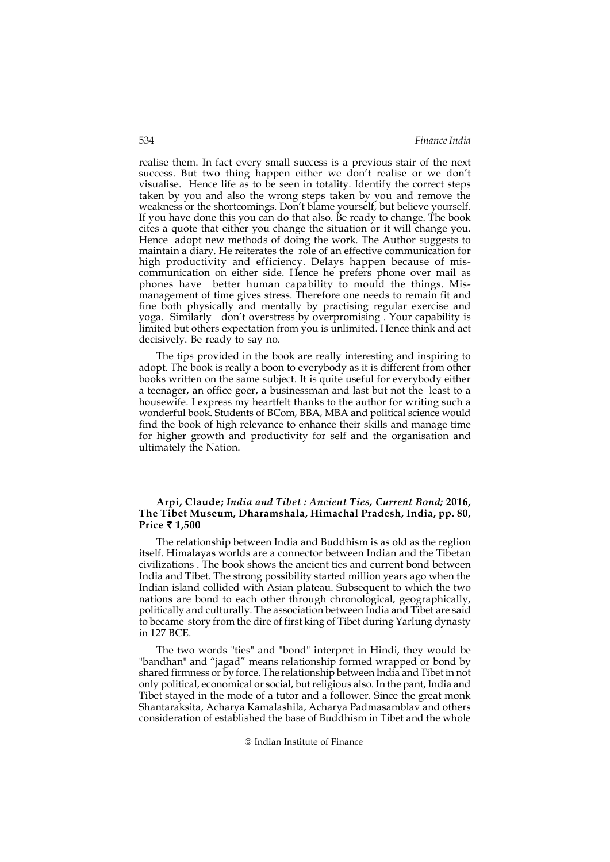realise them. In fact every small success is a previous stair of the next success. But two thing happen either we don't realise or we don't visualise. Hence life as to be seen in totality. Identify the correct steps taken by you and also the wrong steps taken by you and remove the weakness or the shortcomings. Don't blame yourself, but believe yourself. If you have done this you can do that also. Be ready to change. The book cites a quote that either you change the situation or it will change you. Hence adopt new methods of doing the work. The Author suggests to maintain a diary. He reiterates the role of an effective communication for high productivity and efficiency. Delays happen because of miscommunication on either side. Hence he prefers phone over mail as phones have better human capability to mould the things. Mismanagement of time gives stress. Therefore one needs to remain fit and fine both physically and mentally by practising regular exercise and yoga. Similarly don't overstress by overpromising . Your capability is limited but others expectation from you is unlimited. Hence think and act decisively. Be ready to say no.

The tips provided in the book are really interesting and inspiring to adopt. The book is really a boon to everybody as it is different from other books written on the same subject. It is quite useful for everybody either a teenager, an office goer, a businessman and last but not the least to a housewife. I express my heartfelt thanks to the author for writing such a wonderful book. Students of BCom, BBA, MBA and political science would find the book of high relevance to enhance their skills and manage time for higher growth and productivity for self and the organisation and ultimately the Nation.

## Arpi, Claude; India and Tibet : Ancient Ties, Current Bond; 2016, The Tibet Museum, Dharamshala, Himachal Pradesh, India, pp. 80, Price  $\bar{\tau}$  1.500

The relationship between India and Buddhism is as old as the reglion itself. Himalayas worlds are a connector between Indian and the Tibetan civilizations . The book shows the ancient ties and current bond between India and Tibet. The strong possibility started million years ago when the Indian island collided with Asian plateau. Subsequent to which the two nations are bond to each other through chronological, geographically, politically and culturally. The association between India and Tibet are said to became story from the dire of first king of Tibet during Yarlung dynasty in 127 BCE.

The two words "ties" and "bond" interpret in Hindi, they would be "bandhan" and "jagad" means relationship formed wrapped or bond by shared firmness or by force. The relationship between India and Tibet in not only political, economical or social, but religious also. In the pant, India and Tibet stayed in the mode of a tutor and a follower. Since the great monk Shantaraksita, Acharya Kamalashila, Acharya Padmasamblav and others consideration of established the base of Buddhism in Tibet and the whole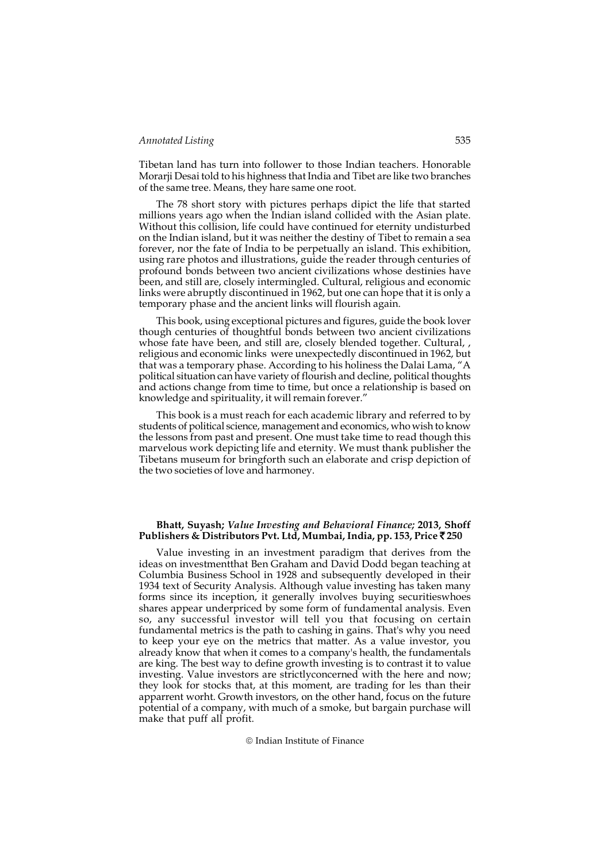Tibetan land has turn into follower to those Indian teachers. Honorable Morarji Desai told to his highness that India and Tibet are like two branches of the same tree. Means, they hare same one root.

The 78 short story with pictures perhaps dipict the life that started millions years ago when the Indian island collided with the Asian plate. Without this collision, life could have continued for eternity undisturbed on the Indian island, but it was neither the destiny of Tibet to remain a sea forever, nor the fate of India to be perpetually an island. This exhibition, using rare photos and illustrations, guide the reader through centuries of profound bonds between two ancient civilizations whose destinies have been, and still are, closely intermingled. Cultural, religious and economic links were abruptly discontinued in 1962, but one can hope that it is only a temporary phase and the ancient links will flourish again.

This book, using exceptional pictures and figures, guide the book lover though centuries of thoughtful bonds between two ancient civilizations whose fate have been, and still are, closely blended together. Cultural, , religious and economic links were unexpectedly discontinued in 1962, but that was a temporary phase. According to his holiness the Dalai Lama, "A political situation can have variety of flourish and decline, political thoughts and actions change from time to time, but once a relationship is based on knowledge and spirituality, it will remain forever."

This book is a must reach for each academic library and referred to by students of political science, management and economics, who wish to know the lessons from past and present. One must take time to read though this marvelous work depicting life and eternity. We must thank publisher the Tibetans museum for bringforth such an elaborate and crisp depiction of the two societies of love and harmoney.

#### Bhatt, Suyash; Value Investing and Behavioral Finance; 2013, Shoff Publishers & Distributors Pvt. Ltd, Mumbai, India, pp. 153, Price  $\bar{z}$  250

Value investing in an investment paradigm that derives from the ideas on investmentthat Ben Graham and David Dodd began teaching at Columbia Business School in 1928 and subsequently developed in their 1934 text of Security Analysis. Although value investing has taken many forms since its inception, it generally involves buying securitieswhoes shares appear underpriced by some form of fundamental analysis. Even so, any successful investor will tell you that focusing on certain fundamental metrics is the path to cashing in gains. That's why you need to keep your eye on the metrics that matter. As a value investor, you already know that when it comes to a company's health, the fundamentals are king. The best way to define growth investing is to contrast it to value investing. Value investors are strictlyconcerned with the here and now; they look for stocks that, at this moment, are trading for les than their apparrent worht. Growth investors, on the other hand, focus on the future potential of a company, with much of a smoke, but bargain purchase will make that puff all profit.